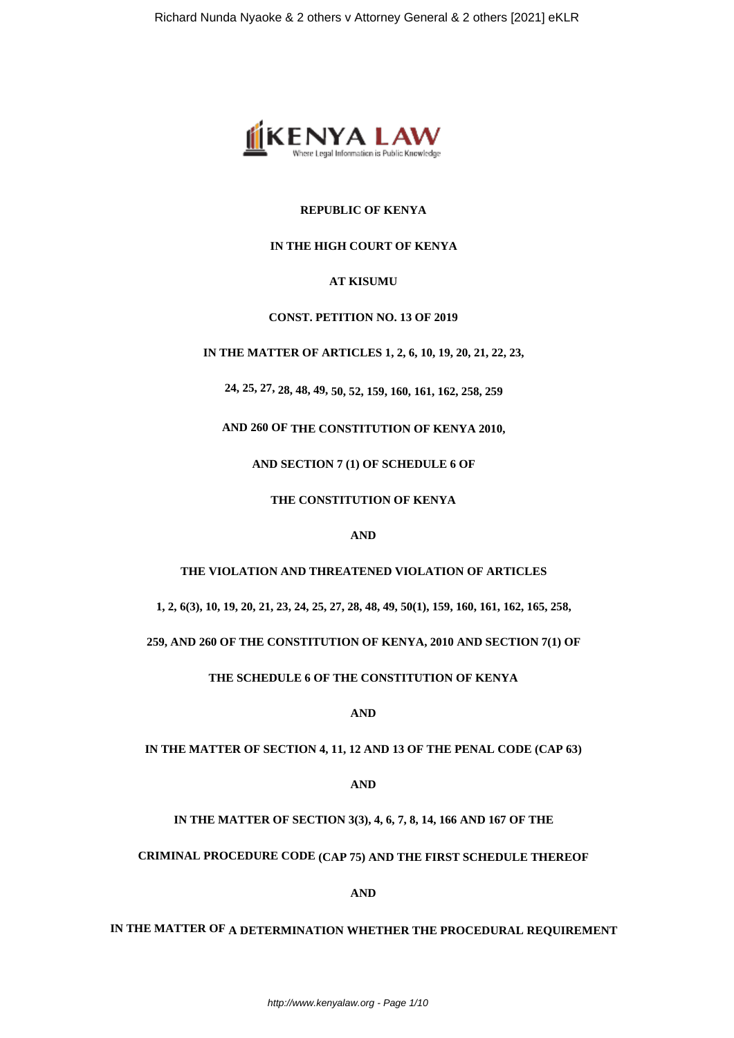

## **REPUBLIC OF KENYA**

## **IN THE HIGH COURT OF KENYA**

## **AT KISUMU**

## **CONST. PETITION NO. 13 OF 2019**

**IN THE MATTER OF ARTICLES 1, 2, 6, 10, 19, 20, 21, 22, 23,**

**24, 25, 27, 28, 48, 49, 50, 52, 159, 160, 161, 162, 258, 259**

**AND 260 OF THE CONSTITUTION OF KENYA 2010,**

**AND SECTION 7 (1) OF SCHEDULE 6 OF**

**THE CONSTITUTION OF KENYA**

**AND**

## **THE VIOLATION AND THREATENED VIOLATION OF ARTICLES**

**1, 2, 6(3), 10, 19, 20, 21, 23, 24, 25, 27, 28, 48, 49, 50(1), 159, 160, 161, 162, 165, 258,**

**259, AND 260 OF THE CONSTITUTION OF KENYA, 2010 AND SECTION 7(1) OF**

**THE SCHEDULE 6 OF THE CONSTITUTION OF KENYA**

**AND**

**IN THE MATTER OF SECTION 4, 11, 12 AND 13 OF THE PENAL CODE (CAP 63)**

**AND**

**IN THE MATTER OF SECTION 3(3), 4, 6, 7, 8, 14, 166 AND 167 OF THE**

**CRIMINAL PROCEDURE CODE (CAP 75) AND THE FIRST SCHEDULE THEREOF**

**AND**

# **IN THE MATTER OF A DETERMINATION WHETHER THE PROCEDURAL REQUIREMENT**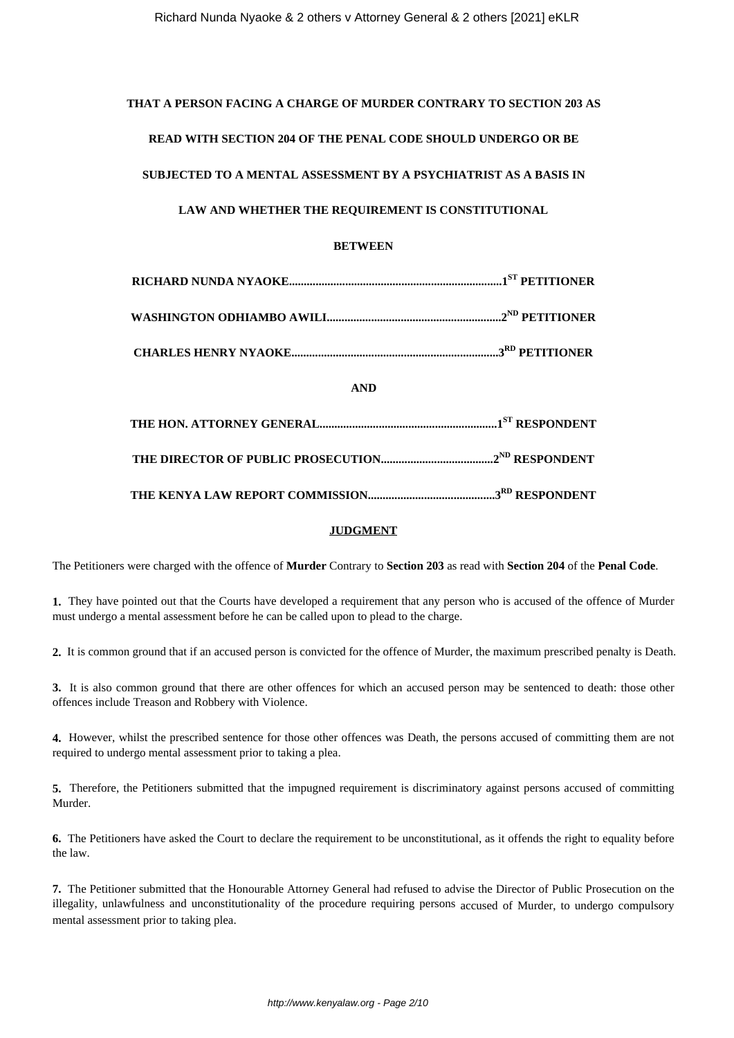### **THAT A PERSON FACING A CHARGE OF MURDER CONTRARY TO SECTION 203 AS**

## **READ WITH SECTION 204 OF THE PENAL CODE SHOULD UNDERGO OR BE**

## **SUBJECTED TO A MENTAL ASSESSMENT BY A PSYCHIATRIST AS A BASIS IN**

## **LAW AND WHETHER THE REQUIREMENT IS CONSTITUTIONAL**

## **BETWEEN**

| <b>AND</b> |  |
|------------|--|
|            |  |
|            |  |
|            |  |

## **JUDGMENT**

The Petitioners were charged with the offence of **Murder** Contrary to **Section 203** as read with **Section 204** of the **Penal Code**.

**1.** They have pointed out that the Courts have developed a requirement that any person who is accused of the offence of Murder must undergo a mental assessment before he can be called upon to plead to the charge.

**2.** It is common ground that if an accused person is convicted for the offence of Murder, the maximum prescribed penalty is Death.

**3.** It is also common ground that there are other offences for which an accused person may be sentenced to death: those other offences include Treason and Robbery with Violence.

**4.** However, whilst the prescribed sentence for those other offences was Death, the persons accused of committing them are not required to undergo mental assessment prior to taking a plea.

**5.** Therefore, the Petitioners submitted that the impugned requirement is discriminatory against persons accused of committing Murder.

**6.** The Petitioners have asked the Court to declare the requirement to be unconstitutional, as it offends the right to equality before the law.

**7.** The Petitioner submitted that the Honourable Attorney General had refused to advise the Director of Public Prosecution on the illegality, unlawfulness and unconstitutionality of the procedure requiring persons accused of Murder, to undergo compulsory mental assessment prior to taking plea.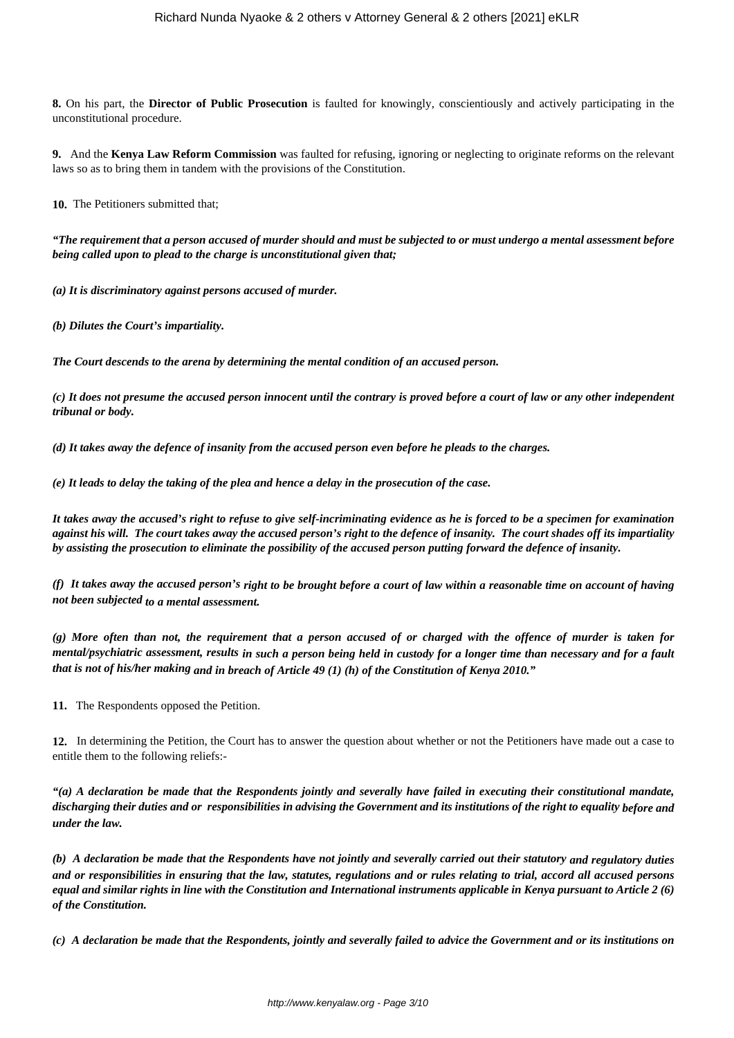**8.** On his part, the **Director of Public Prosecution** is faulted for knowingly, conscientiously and actively participating in the unconstitutional procedure.

**9.** And the **Kenya Law Reform Commission** was faulted for refusing, ignoring or neglecting to originate reforms on the relevant laws so as to bring them in tandem with the provisions of the Constitution.

**10.** The Petitioners submitted that;

*"The requirement that a person accused of murder should and must be subjected to or must undergo a mental assessment before being called upon to plead to the charge is unconstitutional given that;*

*(a) It is discriminatory against persons accused of murder.*

*(b) Dilutes the Court's impartiality.*

*The Court descends to the arena by determining the mental condition of an accused person.*

*(c) It does not presume the accused person innocent until the contrary is proved before a court of law or any other independent tribunal or body.*

*(d) It takes away the defence of insanity from the accused person even before he pleads to the charges.*

*(e) It leads to delay the taking of the plea and hence a delay in the prosecution of the case.*

*It takes away the accused's right to refuse to give self-incriminating evidence as he is forced to be a specimen for examination against his will. The court takes away the accused person's right to the defence of insanity. The court shades off its impartiality by assisting the prosecution to eliminate the possibility of the accused person putting forward the defence of insanity.*

*(f) It takes away the accused person's right to be brought before a court of law within a reasonable time on account of having not been subjected to a mental assessment.*

*(g) More often than not, the requirement that a person accused of or charged with the offence of murder is taken for mental/psychiatric assessment, results in such a person being held in custody for a longer time than necessary and for a fault that is not of his/her making and in breach of Article 49 (1) (h) of the Constitution of Kenya 2010."*

**11.** The Respondents opposed the Petition.

**12.** In determining the Petition, the Court has to answer the question about whether or not the Petitioners have made out a case to entitle them to the following reliefs:-

*"(a) A declaration be made that the Respondents jointly and severally have failed in executing their constitutional mandate, discharging their duties and or responsibilities in advising the Government and its institutions of the right to equality before and under the law.*

*(b) A declaration be made that the Respondents have not jointly and severally carried out their statutory and regulatory duties and or responsibilities in ensuring that the law, statutes, regulations and or rules relating to trial, accord all accused persons equal and similar rights in line with the Constitution and International instruments applicable in Kenya pursuant to Article 2 (6) of the Constitution.*

*(c) A declaration be made that the Respondents, jointly and severally failed to advice the Government and or its institutions on*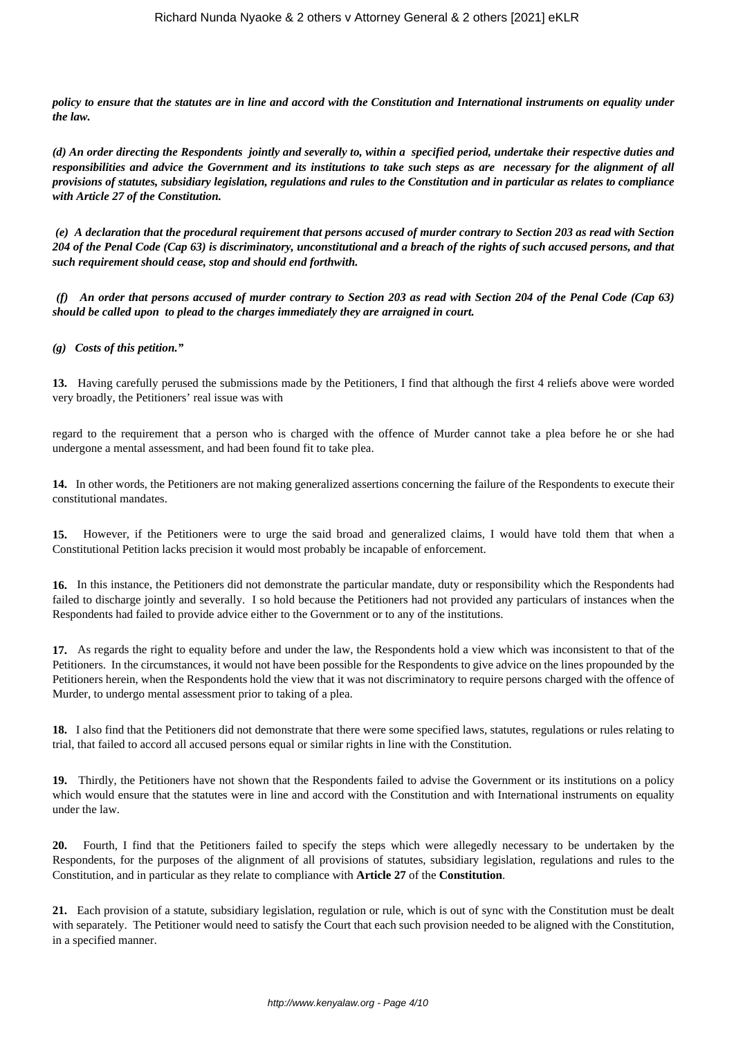*policy to ensure that the statutes are in line and accord with the Constitution and International instruments on equality under the law.*

*(d) An order directing the Respondents jointly and severally to, within a specified period, undertake their respective duties and responsibilities and advice the Government and its institutions to take such steps as are necessary for the alignment of all provisions of statutes, subsidiary legislation, regulations and rules to the Constitution and in particular as relates to compliance with Article 27 of the Constitution.*

*(e) A declaration that the procedural requirement that persons accused of murder contrary to Section 203 as read with Section 204 of the Penal Code (Cap 63) is discriminatory, unconstitutional and a breach of the rights of such accused persons, and that such requirement should cease, stop and should end forthwith.*

*(f) An order that persons accused of murder contrary to Section 203 as read with Section 204 of the Penal Code (Cap 63) should be called upon to plead to the charges immediately they are arraigned in court.*

*(g) Costs of this petition."*

**13.** Having carefully perused the submissions made by the Petitioners, I find that although the first 4 reliefs above were worded very broadly, the Petitioners' real issue was with

regard to the requirement that a person who is charged with the offence of Murder cannot take a plea before he or she had undergone a mental assessment, and had been found fit to take plea.

**14.** In other words, the Petitioners are not making generalized assertions concerning the failure of the Respondents to execute their constitutional mandates.

**15.** However, if the Petitioners were to urge the said broad and generalized claims, I would have told them that when a Constitutional Petition lacks precision it would most probably be incapable of enforcement.

**16.** In this instance, the Petitioners did not demonstrate the particular mandate, duty or responsibility which the Respondents had failed to discharge jointly and severally. I so hold because the Petitioners had not provided any particulars of instances when the Respondents had failed to provide advice either to the Government or to any of the institutions.

**17.** As regards the right to equality before and under the law, the Respondents hold a view which was inconsistent to that of the Petitioners. In the circumstances, it would not have been possible for the Respondents to give advice on the lines propounded by the Petitioners herein, when the Respondents hold the view that it was not discriminatory to require persons charged with the offence of Murder, to undergo mental assessment prior to taking of a plea.

**18.** I also find that the Petitioners did not demonstrate that there were some specified laws, statutes, regulations or rules relating to trial, that failed to accord all accused persons equal or similar rights in line with the Constitution.

**19.** Thirdly, the Petitioners have not shown that the Respondents failed to advise the Government or its institutions on a policy which would ensure that the statutes were in line and accord with the Constitution and with International instruments on equality under the law.

**20.** Fourth, I find that the Petitioners failed to specify the steps which were allegedly necessary to be undertaken by the Respondents, for the purposes of the alignment of all provisions of statutes, subsidiary legislation, regulations and rules to the Constitution, and in particular as they relate to compliance with **Article 27** of the **Constitution**.

**21.** Each provision of a statute, subsidiary legislation, regulation or rule, which is out of sync with the Constitution must be dealt with separately. The Petitioner would need to satisfy the Court that each such provision needed to be aligned with the Constitution, in a specified manner.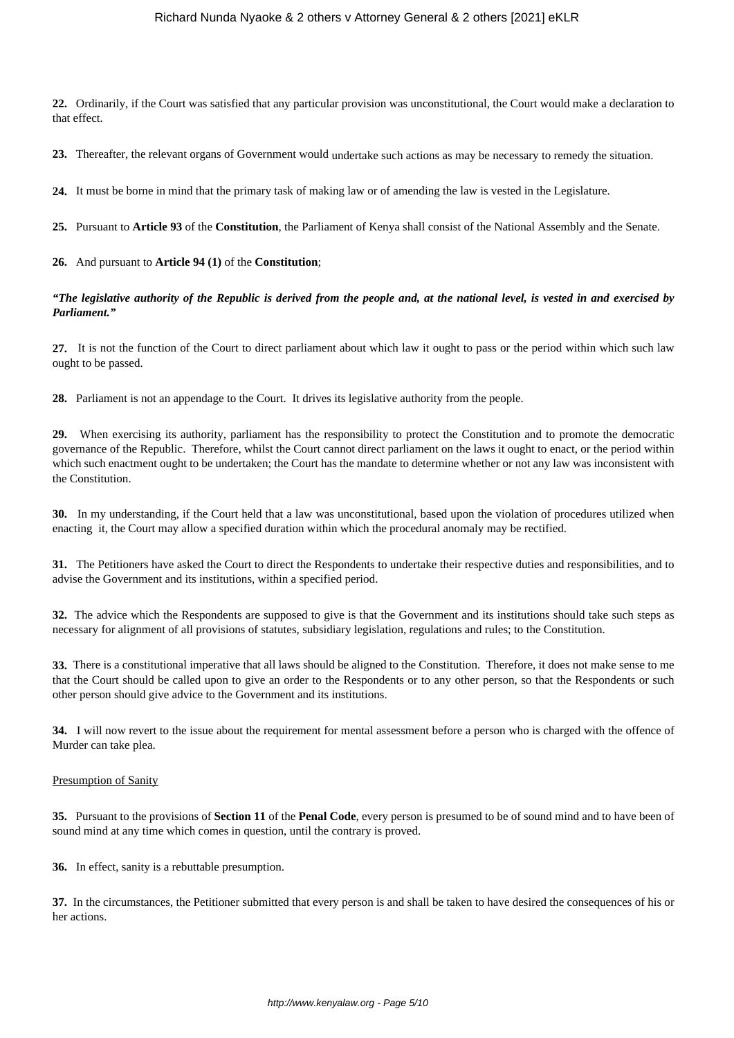**22.** Ordinarily, if the Court was satisfied that any particular provision was unconstitutional, the Court would make a declaration to that effect.

**23.** Thereafter, the relevant organs of Government would undertake such actions as may be necessary to remedy the situation.

**24.** It must be borne in mind that the primary task of making law or of amending the law is vested in the Legislature.

**25.** Pursuant to **Article 93** of the **Constitution**, the Parliament of Kenya shall consist of the National Assembly and the Senate.

**26.** And pursuant to **Article 94 (1)** of the **Constitution**;

*"The legislative authority of the Republic is derived from the people and, at the national level, is vested in and exercised by Parliament."*

**27.** It is not the function of the Court to direct parliament about which law it ought to pass or the period within which such law ought to be passed.

**28.** Parliament is not an appendage to the Court. It drives its legislative authority from the people.

**29.** When exercising its authority, parliament has the responsibility to protect the Constitution and to promote the democratic governance of the Republic. Therefore, whilst the Court cannot direct parliament on the laws it ought to enact, or the period within which such enactment ought to be undertaken; the Court has the mandate to determine whether or not any law was inconsistent with the Constitution.

**30.** In my understanding, if the Court held that a law was unconstitutional, based upon the violation of procedures utilized when enacting it, the Court may allow a specified duration within which the procedural anomaly may be rectified.

**31.** The Petitioners have asked the Court to direct the Respondents to undertake their respective duties and responsibilities, and to advise the Government and its institutions, within a specified period.

**32.** The advice which the Respondents are supposed to give is that the Government and its institutions should take such steps as necessary for alignment of all provisions of statutes, subsidiary legislation, regulations and rules; to the Constitution.

**33.** There is a constitutional imperative that all laws should be aligned to the Constitution. Therefore, it does not make sense to me that the Court should be called upon to give an order to the Respondents or to any other person, so that the Respondents or such other person should give advice to the Government and its institutions.

**34.** I will now revert to the issue about the requirement for mental assessment before a person who is charged with the offence of Murder can take plea.

#### Presumption of Sanity

**35.** Pursuant to the provisions of **Section 11** of the **Penal Code**, every person is presumed to be of sound mind and to have been of sound mind at any time which comes in question, until the contrary is proved.

**36.** In effect, sanity is a rebuttable presumption.

**37.** In the circumstances, the Petitioner submitted that every person is and shall be taken to have desired the consequences of his or her actions.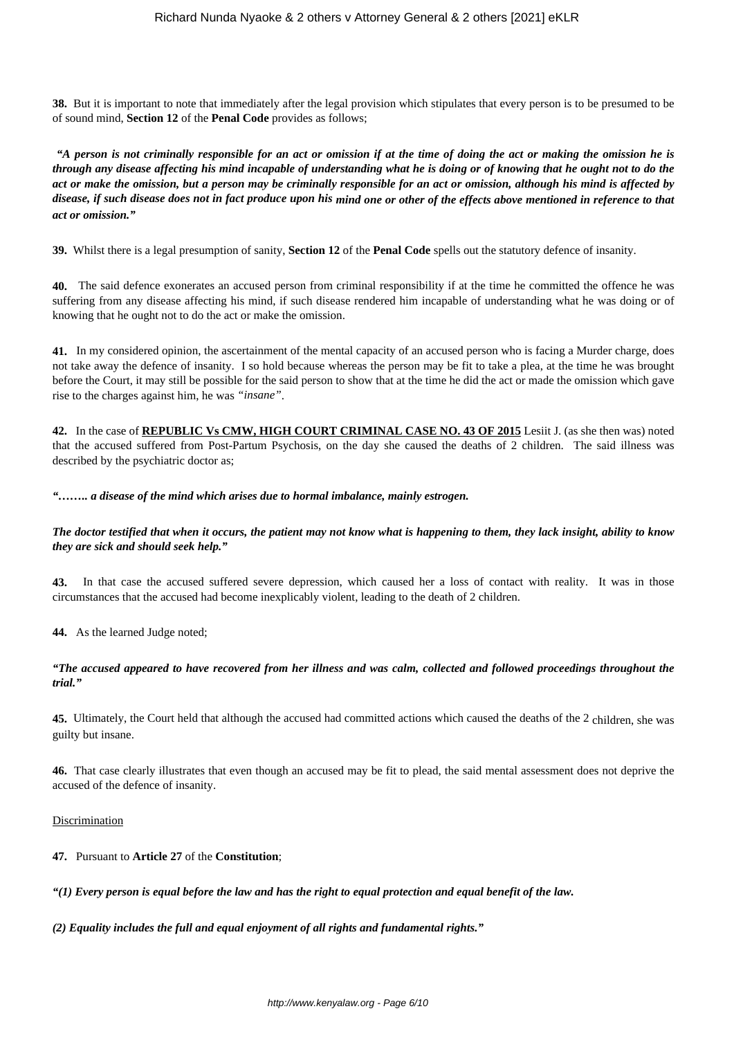**38.** But it is important to note that immediately after the legal provision which stipulates that every person is to be presumed to be of sound mind, **Section 12** of the **Penal Code** provides as follows;

*"A person is not criminally responsible for an act or omission if at the time of doing the act or making the omission he is through any disease affecting his mind incapable of understanding what he is doing or of knowing that he ought not to do the act or make the omission, but a person may be criminally responsible for an act or omission, although his mind is affected by disease, if such disease does not in fact produce upon his mind one or other of the effects above mentioned in reference to that act or omission."*

**39.** Whilst there is a legal presumption of sanity, **Section 12** of the **Penal Code** spells out the statutory defence of insanity.

**40.** The said defence exonerates an accused person from criminal responsibility if at the time he committed the offence he was suffering from any disease affecting his mind, if such disease rendered him incapable of understanding what he was doing or of knowing that he ought not to do the act or make the omission.

**41.** In my considered opinion, the ascertainment of the mental capacity of an accused person who is facing a Murder charge, does not take away the defence of insanity. I so hold because whereas the person may be fit to take a plea, at the time he was brought before the Court, it may still be possible for the said person to show that at the time he did the act or made the omission which gave rise to the charges against him, he was *"insane"*.

**42.** In the case of **REPUBLIC Vs CMW, HIGH COURT CRIMINAL CASE NO. 43 OF 2015** Lesiit J. (as she then was) noted that the accused suffered from Post-Partum Psychosis, on the day she caused the deaths of 2 children. The said illness was described by the psychiatric doctor as;

*"…….. a disease of the mind which arises due to hormal imbalance, mainly estrogen.*

## *The doctor testified that when it occurs, the patient may not know what is happening to them, they lack insight, ability to know they are sick and should seek help."*

**43.** In that case the accused suffered severe depression, which caused her a loss of contact with reality. It was in those circumstances that the accused had become inexplicably violent, leading to the death of 2 children.

**44.** As the learned Judge noted;

## *"The accused appeared to have recovered from her illness and was calm, collected and followed proceedings throughout the trial."*

**45.** Ultimately, the Court held that although the accused had committed actions which caused the deaths of the 2 children, she was guilty but insane.

**46.** That case clearly illustrates that even though an accused may be fit to plead, the said mental assessment does not deprive the accused of the defence of insanity.

## Discrimination

**47.** Pursuant to **Article 27** of the **Constitution**;

*"(1) Every person is equal before the law and has the right to equal protection and equal benefit of the law.*

*(2) Equality includes the full and equal enjoyment of all rights and fundamental rights."*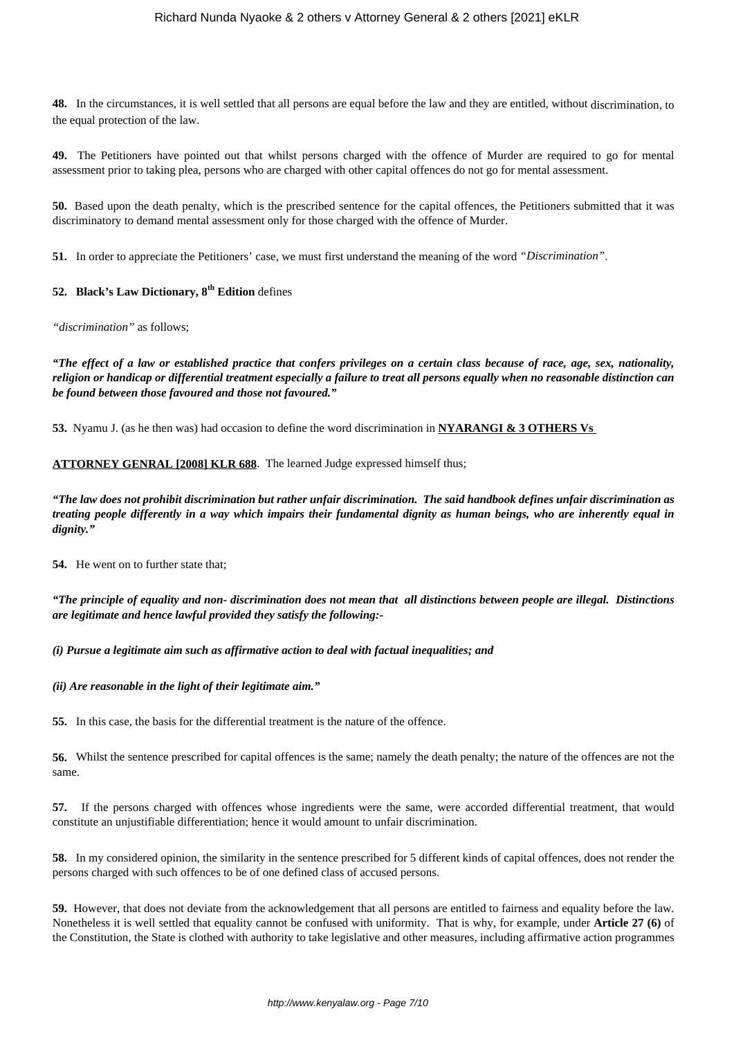**48.** In the circumstances, it is well settled that all persons are equal before the law and they are entitled, without discrimination, to the equal protection of the law.

**49.** The Petitioners have pointed out that whilst persons charged with the offence of Murder are required to go for mental assessment prior to taking plea, persons who are charged with other capital offences do not go for mental assessment.

**50.** Based upon the death penalty, which is the prescribed sentence for the capital offences, the Petitioners submitted that it was discriminatory to demand mental assessment only for those charged with the offence of Murder.

**51.** In order to appreciate the Petitioners' case, we must first understand the meaning of the word *"Discrimination"*.

## **52. Black's Law Dictionary, 8th Edition** defines

*"discrimination"* as follows;

*"The effect of a law or established practice that confers privileges on a certain class because of race, age, sex, nationality, religion or handicap or differential treatment especially a failure to treat all persons equally when no reasonable distinction can be found between those favoured and those not favoured."*

**53.** Nyamu J. (as he then was) had occasion to define the word discrimination in **NYARANGI & 3 OTHERS Vs** 

## **ATTORNEY GENRAL [2008] KLR 688**. The learned Judge expressed himself thus;

*"The law does not prohibit discrimination but rather unfair discrimination. The said handbook defines unfair discrimination as treating people differently in a way which impairs their fundamental dignity as human beings, who are inherently equal in dignity."*

**54.** He went on to further state that;

*"The principle of equality and non- discrimination does not mean that all distinctions between people are illegal. Distinctions are legitimate and hence lawful provided they satisfy the following:-*

*(i) Pursue a legitimate aim such as affirmative action to deal with factual inequalities; and*

*(ii) Are reasonable in the light of their legitimate aim."*

**55.** In this case, the basis for the differential treatment is the nature of the offence.

**56.** Whilst the sentence prescribed for capital offences is the same; namely the death penalty; the nature of the offences are not the same.

**57.** If the persons charged with offences whose ingredients were the same, were accorded differential treatment, that would constitute an unjustifiable differentiation; hence it would amount to unfair discrimination.

**58.** In my considered opinion, the similarity in the sentence prescribed for 5 different kinds of capital offences, does not render the persons charged with such offences to be of one defined class of accused persons.

**59.** However, that does not deviate from the acknowledgement that all persons are entitled to fairness and equality before the law. Nonetheless it is well settled that equality cannot be confused with uniformity. That is why, for example, under **Article 27 (6)** of the Constitution, the State is clothed with authority to take legislative and other measures, including affirmative action programmes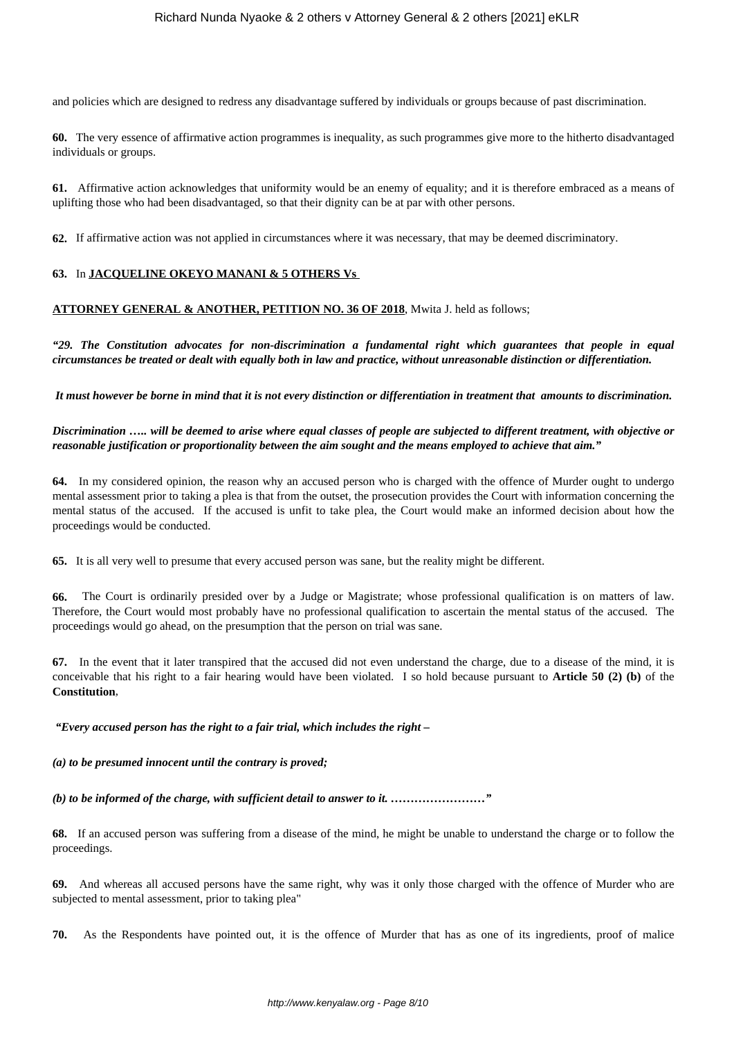and policies which are designed to redress any disadvantage suffered by individuals or groups because of past discrimination.

**60.** The very essence of affirmative action programmes is inequality, as such programmes give more to the hitherto disadvantaged individuals or groups.

**61.** Affirmative action acknowledges that uniformity would be an enemy of equality; and it is therefore embraced as a means of uplifting those who had been disadvantaged, so that their dignity can be at par with other persons.

**62.** If affirmative action was not applied in circumstances where it was necessary, that may be deemed discriminatory.

## **63.** In **JACQUELINE OKEYO MANANI & 5 OTHERS Vs**

## **ATTORNEY GENERAL & ANOTHER, PETITION NO. 36 OF 2018**, Mwita J. held as follows;

*"29. The Constitution advocates for non-discrimination a fundamental right which guarantees that people in equal circumstances be treated or dealt with equally both in law and practice, without unreasonable distinction or differentiation.*

*It must however be borne in mind that it is not every distinction or differentiation in treatment that amounts to discrimination.*

*Discrimination ….. will be deemed to arise where equal classes of people are subjected to different treatment, with objective or reasonable justification or proportionality between the aim sought and the means employed to achieve that aim."*

**64.** In my considered opinion, the reason why an accused person who is charged with the offence of Murder ought to undergo mental assessment prior to taking a plea is that from the outset, the prosecution provides the Court with information concerning the mental status of the accused. If the accused is unfit to take plea, the Court would make an informed decision about how the proceedings would be conducted.

**65.** It is all very well to presume that every accused person was sane, but the reality might be different.

**66.** The Court is ordinarily presided over by a Judge or Magistrate; whose professional qualification is on matters of law. Therefore, the Court would most probably have no professional qualification to ascertain the mental status of the accused. The proceedings would go ahead, on the presumption that the person on trial was sane.

**67.** In the event that it later transpired that the accused did not even understand the charge, due to a disease of the mind, it is conceivable that his right to a fair hearing would have been violated. I so hold because pursuant to **Article 50 (2) (b)** of the **Constitution**,

*"Every accused person has the right to a fair trial, which includes the right –*

*(a) to be presumed innocent until the contrary is proved;*

*(b) to be informed of the charge, with sufficient detail to answer to it. ……………………"*

**68.** If an accused person was suffering from a disease of the mind, he might be unable to understand the charge or to follow the proceedings.

**69.** And whereas all accused persons have the same right, why was it only those charged with the offence of Murder who are subjected to mental assessment, prior to taking plea"

**70.** As the Respondents have pointed out, it is the offence of Murder that has as one of its ingredients, proof of malice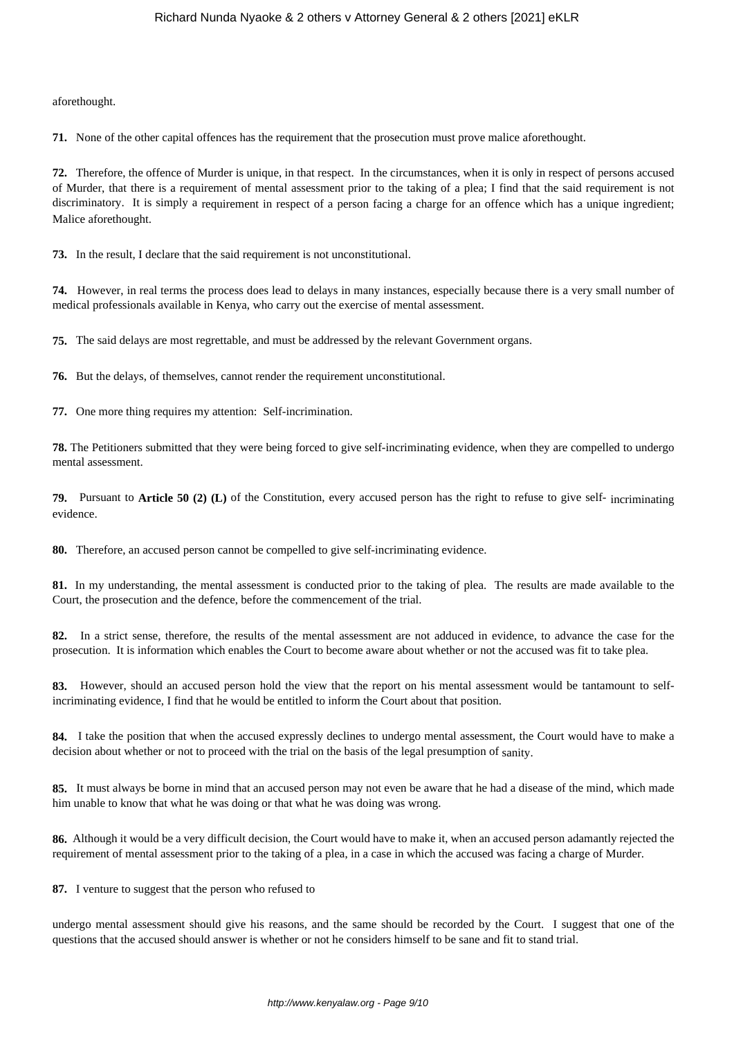aforethought.

**71.** None of the other capital offences has the requirement that the prosecution must prove malice aforethought.

**72.** Therefore, the offence of Murder is unique, in that respect. In the circumstances, when it is only in respect of persons accused of Murder, that there is a requirement of mental assessment prior to the taking of a plea; I find that the said requirement is not discriminatory. It is simply a requirement in respect of a person facing a charge for an offence which has a unique ingredient; Malice aforethought.

**73.** In the result, I declare that the said requirement is not unconstitutional.

**74.** However, in real terms the process does lead to delays in many instances, especially because there is a very small number of medical professionals available in Kenya, who carry out the exercise of mental assessment.

**75.** The said delays are most regrettable, and must be addressed by the relevant Government organs.

**76.** But the delays, of themselves, cannot render the requirement unconstitutional.

**77.** One more thing requires my attention: Self-incrimination.

**78.** The Petitioners submitted that they were being forced to give self-incriminating evidence, when they are compelled to undergo mental assessment.

**79.** Pursuant to **Article 50 (2) (L)** of the Constitution, every accused person has the right to refuse to give self- incriminating evidence.

**80.** Therefore, an accused person cannot be compelled to give self-incriminating evidence.

**81.** In my understanding, the mental assessment is conducted prior to the taking of plea. The results are made available to the Court, the prosecution and the defence, before the commencement of the trial.

**82.** In a strict sense, therefore, the results of the mental assessment are not adduced in evidence, to advance the case for the prosecution. It is information which enables the Court to become aware about whether or not the accused was fit to take plea.

**83.** However, should an accused person hold the view that the report on his mental assessment would be tantamount to selfincriminating evidence, I find that he would be entitled to inform the Court about that position.

**84.** I take the position that when the accused expressly declines to undergo mental assessment, the Court would have to make a decision about whether or not to proceed with the trial on the basis of the legal presumption of sanity.

**85.** It must always be borne in mind that an accused person may not even be aware that he had a disease of the mind, which made him unable to know that what he was doing or that what he was doing was wrong.

**86.** Although it would be a very difficult decision, the Court would have to make it, when an accused person adamantly rejected the requirement of mental assessment prior to the taking of a plea, in a case in which the accused was facing a charge of Murder.

**87.** I venture to suggest that the person who refused to

undergo mental assessment should give his reasons, and the same should be recorded by the Court. I suggest that one of the questions that the accused should answer is whether or not he considers himself to be sane and fit to stand trial.